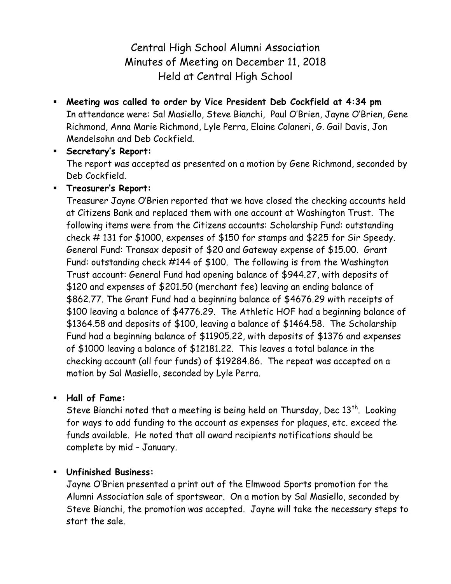Central High School Alumni Association Minutes of Meeting on December 11, 2018 Held at Central High School

 **Meeting was called to order by Vice President Deb Cockfield at 4:34 pm** In attendance were: Sal Masiello, Steve Bianchi, Paul O'Brien, Jayne O'Brien, Gene Richmond, Anna Marie Richmond, Lyle Perra, Elaine Colaneri, G. Gail Davis, Jon Mendelsohn and Deb Cockfield.

 **Secretary's Report:** The report was accepted as presented on a motion by Gene Richmond, seconded by Deb Cockfield.

**Treasurer's Report:**

Treasurer Jayne O'Brien reported that we have closed the checking accounts held at Citizens Bank and replaced them with one account at Washington Trust. The following items were from the Citizens accounts: Scholarship Fund: outstanding check # 131 for \$1000, expenses of \$150 for stamps and \$225 for Sir Speedy. General Fund: Transax deposit of \$20 and Gateway expense of \$15.00. Grant Fund: outstanding check #144 of \$100. The following is from the Washington Trust account: General Fund had opening balance of \$944.27, with deposits of \$120 and expenses of \$201.50 (merchant fee) leaving an ending balance of \$862.77. The Grant Fund had a beginning balance of \$4676.29 with receipts of \$100 leaving a balance of \$4776.29. The Athletic HOF had a beginning balance of \$1364.58 and deposits of \$100, leaving a balance of \$1464.58. The Scholarship Fund had a beginning balance of \$11905.22, with deposits of \$1376 and expenses of \$1000 leaving a balance of \$12181.22. This leaves a total balance in the checking account (all four funds) of \$19284.86. The repeat was accepted on a motion by Sal Masiello, seconded by Lyle Perra.

**Hall of Fame:**

Steve Bianchi noted that a meeting is being held on Thursday, Dec  $13<sup>th</sup>$ . Looking for ways to add funding to the account as expenses for plaques, etc. exceed the funds available. He noted that all award recipients notifications should be complete by mid - January.

## **Unfinished Business:**

Jayne O'Brien presented a print out of the Elmwood Sports promotion for the Alumni Association sale of sportswear. On a motion by Sal Masiello, seconded by Steve Bianchi, the promotion was accepted. Jayne will take the necessary steps to start the sale.